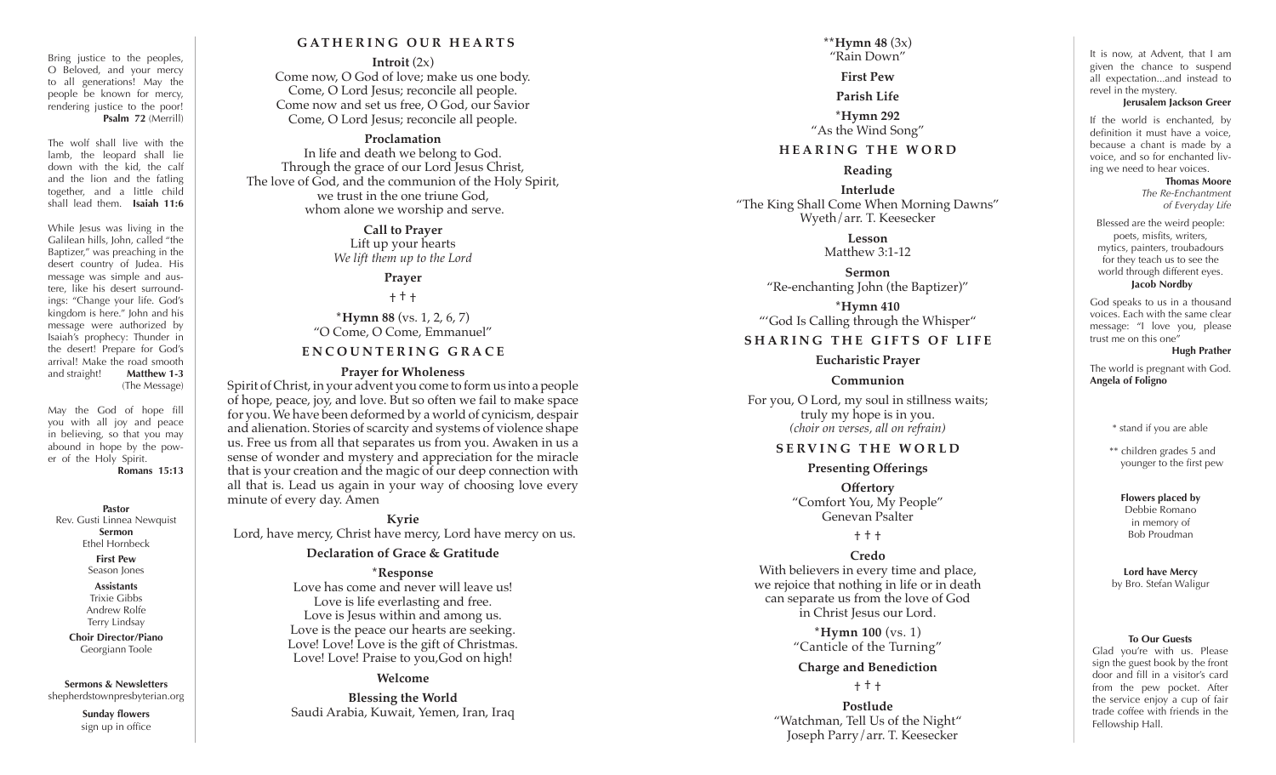Bring justice to the peoples, O Beloved, and your mercy to all generations! May the people be known for mercy, rendering justice to the poor! **Psalm 72** (Merrill)

The wolf shall live with the lamb, the leopard shall lie down with the kid, the calf and the lion and the fatling together, and a little child shall lead them. **Isaiah 11:6**

While Jesus was living in the Galilean hills, John, called "the Baptizer," was preaching in the desert country of Judea. His message was simple and aus tere, like his desert surround ings: "Change your life. God's kingdom is here." John and his message were authorized by Isaiah's prophecy: Thunder in the desert! Prepare for God's arrival! Make the road smooth and straight! **Matthew 1-3**  (The Message)

May the God of hope fill you with all joy and peace in believing, so that you may abound in hope by the pow er of the Holy Spirit.

**Romans 15:13**

**Pastor** Rev. Gusti Linnea Newquist **Sermon** Ethel Hornbeck **First Pew** Season Jones

> **Assistants** Trixie Gibbs Andrew Rolfe Terry Lindsay

**Choir Director/Piano** Georgiann Toole

**Sermons & Newsletters** shepherdstownpresbyterian.org

> **Sunday flowers** sign up in office

#### **G AT H E R I N G O U R H E A R T S**

**Introit** (2x) Come now, O God of love; make us one body. Come, O Lord Jesus; reconcile all people. Come now and set us free, O God, our Savior Come, O Lord Jesus; reconcile all people.

### **Proclamation**

In life and death we belong to God. Through the grace of our Lord Jesus Christ, The love of God, and the communion of the Holy Spirit, we trust in the one triune God, whom alone we worship and serve.

> **Call to Prayer** Lift up your hearts *We lift them up to the Lord*

#### **Prayer**

† † †

**\*Hymn 88** (vs. 1, 2, 6, 7) "O Come, O Come, Emmanuel"

# **ENCOUNTERING GRACE**

#### **Prayer for Wholeness**

Spirit of Christ, in your advent you come to form us into a people of hope, peace, joy, and love. But so often we fail to make space for you. We have been deformed by a world of cynicism, despair and alienation. Stories of scarcity and systems of violence shape us. Free us from all that separates us from you. Awaken in us a sense of wonder and mystery and appreciation for the miracle that is your creation and the magic of our deep connection with all that is. Lead us again in your way of choosing love every minute of every day. Amen

**Kyrie** Lord, have mercy, Christ have mercy, Lord have mercy on us.

### **Declaration of Grace & Gratitude**

**\*Response**

Love has come and never will leave us! Love is life everlasting and free. Love is Jesus within and among us. Love is the peace our hearts are seeking. Love! Love! Love is the gift of Christmas. Love! Love! Praise to you,God on high!

#### **Welcome**

**Blessing the World** Saudi Arabia, Kuwait, Yemen, Iran, Iraq

# **\*\*Hymn 48** (3x) "Rain Down" **First Pew Parish Life \*Hymn 292** "As the Wind Song" **HEARING THE WORD**

**Reading** 

**Interlude** "The King Shall Come When Morning Dawns" Wyeth/arr. T. Keesecker

> **Lesson** Matthew 3:1-12

**Sermon** "Re-enchanting John (the Baptizer)"

**\*Hymn 410** "'God Is Calling through the Whisper"

## **SHARING THE GIFTS OF LIFE**

#### **Eucharistic Prayer**

#### **Communion**

For you, O Lord, my soul in stillness waits; truly my hope is in you. *(choir on verses, all on refrain)*

### **SERVING THE WORLD**

**Presenting Offerings**

**Offertory** "Comfort You, My People" Genevan Psalter

† † †

### **Credo**

With believers in every time and place, we rejoice that nothing in life or in death can separate us from the love of God in Christ Jesus our Lord.

> **\*Hymn 100** (vs. 1) "Canticle of the Turning"

**Charge and Benediction** † † †

**Postlude** "Watchman, Tell Us of the Night" Joseph Parry/arr. T. Keesecker

It is now, at Advent, that I am given the chance to suspend all expectation...and instead to revel in the mystery.

#### **Jerusalem Jackson Greer**

If the world is enchanted, by definition it must have a voice, because a chant is made by a voice, and so for enchanted liv ing we need to hear voices.

> **Thomas Moore**  *The Re-Enchantment of Everyday Life*

Blessed are the weird people: poets, misfits, writers, mytics, painters, troubadours for they teach us to see the world through different eyes.  **Jacob Nordby**

God speaks to us in a thousand voices. Each with the same clear message: "I love you, please trust me on this one"

**Hugh Prather**

The world is pregnant with God. **Angela of Foligno**

\* stand if you are able

\*\* children grades 5 and younger to the first pew

#### **Flowers placed by** Debbie Romano in memory of

Bob Proudman

**Lord have Mercy**  by Bro. Stefan Waligur

#### **To Our Guests**

Glad you're with us. Please sign the guest book by the front door and fill in a visitor's card from the pew pocket. After the service enjoy a cup of fair trade coffee with friends in the Fellowship Hall.